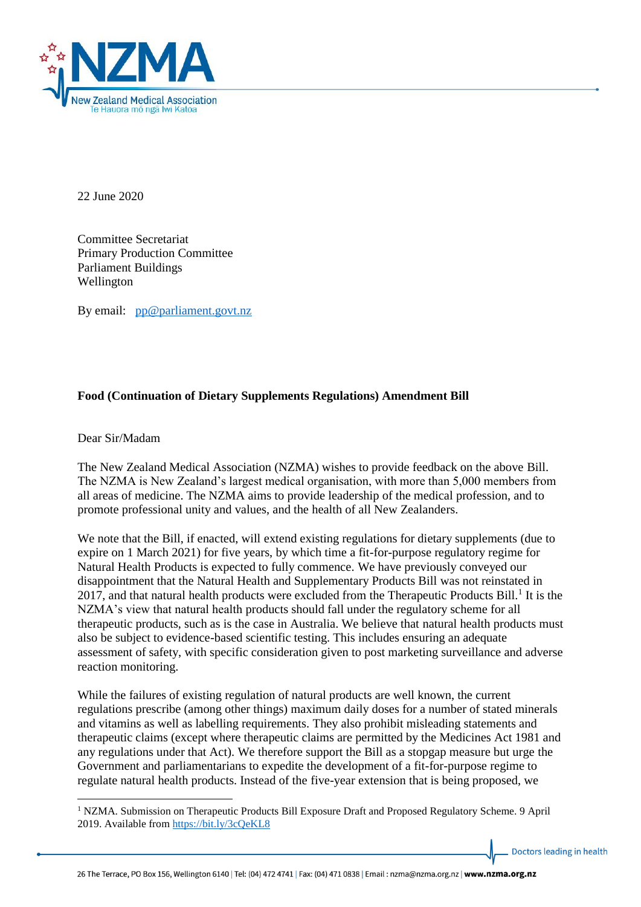

22 June 2020

Committee Secretariat Primary Production Committee Parliament Buildings Wellington

By email: [pp@parliament.govt.nz](mailto:pp@parliament.govt.nz)

## **Food (Continuation of Dietary Supplements Regulations) Amendment Bill**

Dear Sir/Madam

1

The New Zealand Medical Association (NZMA) wishes to provide feedback on the above Bill. The NZMA is New Zealand's largest medical organisation, with more than 5,000 members from all areas of medicine. The NZMA aims to provide leadership of the medical profession, and to promote professional unity and values, and the health of all New Zealanders.

We note that the Bill, if enacted, will extend existing regulations for dietary supplements (due to expire on 1 March 2021) for five years, by which time a fit-for-purpose regulatory regime for Natural Health Products is expected to fully commence. We have previously conveyed our disappointment that the Natural Health and Supplementary Products Bill was not reinstated in  $2017$ , and that natural health products were excluded from the Therapeutic Products Bill.<sup>1</sup> It is the NZMA's view that natural health products should fall under the regulatory scheme for all therapeutic products, such as is the case in Australia. We believe that natural health products must also be subject to evidence-based scientific testing. This includes ensuring an adequate assessment of safety, with specific consideration given to post marketing surveillance and adverse reaction monitoring.

While the failures of existing regulation of natural products are well known, the current regulations prescribe (among other things) maximum daily doses for a number of stated minerals and vitamins as well as labelling requirements. They also prohibit misleading statements and therapeutic claims (except where therapeutic claims are permitted by the Medicines Act 1981 and any regulations under that Act). We therefore support the Bill as a stopgap measure but urge the Government and parliamentarians to expedite the development of a fit-for-purpose regime to regulate natural health products. Instead of the five-year extension that is being proposed, we

<sup>&</sup>lt;sup>1</sup> NZMA. Submission on Therapeutic Products Bill Exposure Draft and Proposed Regulatory Scheme. 9 April 2019. Available from<https://bit.ly/3cQeKL8>